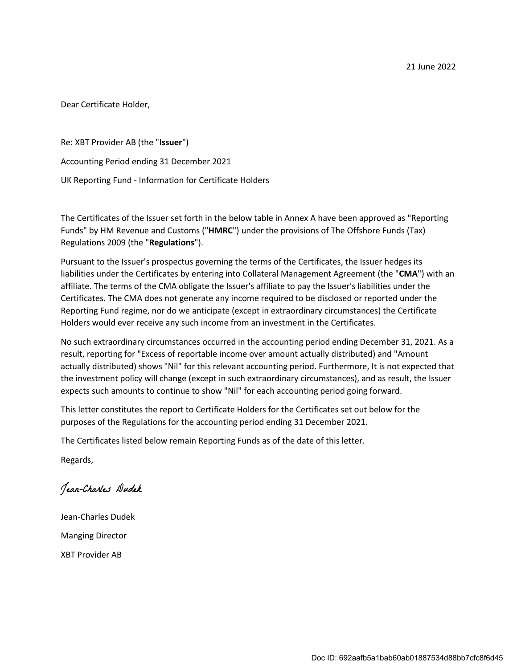Dear Certificate Holder,

Re: XBT Provider AB (the "**Issuer**")

Accounting Period ending 31 December 2021

UK Reporting Fund - Information for Certificate Holders

The Certificates of the Issuer set forth in the below table in Annex A have been approved as "Reporting Funds" by HM Revenue and Customs ("**HMRC**") under the provisions of The Offshore Funds (Tax) Regulations 2009 (the "**Regulations**").

Pursuant to the Issuer's prospectus governing the terms of the Certificates, the Issuer hedges its liabilities under the Certificates by entering into Collateral Management Agreement (the "**CMA**") with an affiliate. The terms of the CMA obligate the Issuer's affiliate to pay the Issuer's liabilities under the Certificates. The CMA does not generate any income required to be disclosed or reported under the Reporting Fund regime, nor do we anticipate (except in extraordinary circumstances) the Certificate Holders would ever receive any such income from an investment in the Certificates.

No such extraordinary circumstances occurred in the accounting period ending December 31, 2021. As a result, reporting for "Excess of reportable income over amount actually distributed) and "Amount actually distributed) shows "Nil" for this relevant accounting period. Furthermore, It is not expected that the investment policy will change (except in such extraordinary circumstances), and as result, the Issuer expects such amounts to continue to show "Nil" for each accounting period going forward.

This letter constitutes the report to Certificate Holders for the Certificates set out below for the purposes of the Regulations for the accounting period ending 31 December 2021.

The Certificates listed below remain Reporting Funds as of the date of this letter.

Regards,

Jean-Charles Dudek

Jean-Charles Dudek Manging Director XBT Provider AB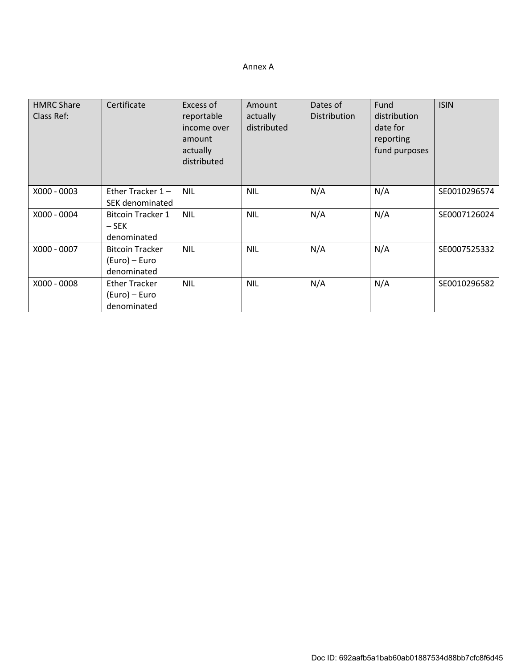## Annex A

| <b>HMRC Share</b><br>Class Ref: | Certificate                                            | Excess of<br>reportable<br>income over<br>amount<br>actually<br>distributed | Amount<br>actually<br>distributed | Dates of<br><b>Distribution</b> | Fund<br>distribution<br>date for<br>reporting<br>fund purposes | <b>ISIN</b>  |
|---------------------------------|--------------------------------------------------------|-----------------------------------------------------------------------------|-----------------------------------|---------------------------------|----------------------------------------------------------------|--------------|
| X000 - 0003                     | Ether Tracker $1 -$<br>SEK denominated                 | <b>NIL</b>                                                                  | <b>NIL</b>                        | N/A                             | N/A                                                            | SE0010296574 |
| X000 - 0004                     | <b>Bitcoin Tracker 1</b><br>– SEK<br>denominated       | <b>NIL</b>                                                                  | <b>NIL</b>                        | N/A                             | N/A                                                            | SE0007126024 |
| X000 - 0007                     | <b>Bitcoin Tracker</b><br>(Euro) – Euro<br>denominated | <b>NIL</b>                                                                  | <b>NIL</b>                        | N/A                             | N/A                                                            | SE0007525332 |
| X000 - 0008                     | <b>Ether Tracker</b><br>(Euro) – Euro<br>denominated   | <b>NIL</b>                                                                  | <b>NIL</b>                        | N/A                             | N/A                                                            | SE0010296582 |